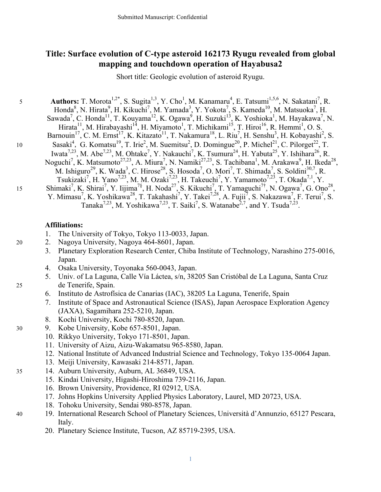## **Title: Surface evolution of C-type asteroid 162173 Ryugu revealed from global mapping and touchdown operation of Hayabusa2**

Short title: Geologic evolution of asteroid Ryugu.

5 **Authors:** T. Morota<sup>1,2\*</sup>, S. Sugita<sup>1,3</sup>, Y. Cho<sup>1</sup>, M. Kanamaru<sup>4</sup>, E. Tatsumi<sup>1,5,6</sup>, N. Sakatani<sup>7</sup>, R. Honda<sup>8</sup>, N. Hirata<sup>9</sup>, H. Kikuchi<sup>7</sup>, M. Yamada<sup>3</sup>, Y. Yokota<sup>7</sup>, S. Kameda<sup>10</sup>, M. Matsuoka<sup>7</sup>, H. Sawada<sup>7</sup>, C. Honda<sup>11</sup>, T. Kouyama<sup>12</sup>, K. Ogawa<sup>9</sup>, H. Suzuki<sup>13</sup>, K. Yoshioka<sup>1</sup>, M. Hayakawa<sup>7</sup>, N. Hirata<sup>11</sup>, M. Hirabayashi<sup>14</sup>, H. Miyamoto<sup>1</sup>, T. Michikami<sup>15</sup>, T. Hiroi<sup>16</sup>, R. Hemmi<sup>1</sup>, O. S. Barnouin<sup>17</sup>, C. M. Ernst<sup>17</sup>, K. Kitazato<sup>11</sup>, T. Nakamura<sup>18</sup>, L. Riu<sup>7</sup>, H. Senshu<sup>3</sup>, H. Kobayashi<sup>2</sup>, S. 10 Sasaki<sup>4</sup>, G. Komatsu<sup>19</sup>, T. Irie<sup>2</sup>, M. Suemitsu<sup>2</sup>, D. Domingue<sup>20</sup>, P. Michel<sup>21</sup>, C. Pilorget<sup>22</sup>, T. Iwata<sup>7,23</sup>, M. Abe<sup>7,23</sup>, M. Ohtake<sup>7</sup>, Y. Nakauchi<sup>7</sup>, K. Tsumura<sup>24</sup>, H. Yabuta<sup>25</sup>, Y. Ishihara<sup>26</sup>, R. Noguchi<sup>7</sup>, K. Matsumoto<sup>27,23</sup>, A. Miura<sup>7</sup>, N. Namiki<sup>27,23</sup>, S. Tachibana<sup>1</sup>, M. Arakawa<sup>9</sup>, H. Ikeda<sup>28</sup>, M. Ishiguro<sup>29</sup>, K. Wada<sup>3</sup>, C. Hirose<sup>28</sup>, S. Hosoda<sup>7</sup>, O. Mori<sup>7</sup>, T. Shimada<sup>7</sup>, S. Soldini<sup>30,7</sup>, R. Tsukizaki<sup>7</sup>, H. Yano<sup>7,23</sup>, M. M. Ozaki<sup>7,23</sup>, H. Takeuchi<sup>7</sup>, Y. Yamamoto<sup>7,23</sup>, T. Okada<sup>7,1</sup>, Y. 15 Shimaki<sup>7</sup>, K. Shirai<sup>7</sup>, Y. Iijima<sup>7§</sup>, H. Noda<sup>27</sup>, S. Kikuchi<sup>7</sup>, T. Yamaguchi<sup>7†</sup>, N. Ogawa<sup>7</sup>, G. Ono<sup>28</sup>, Y. Mimasu<sup>7</sup>, K. Yoshikawa<sup>28</sup>, T. Takahashi<sup>7</sup>, Y. Takei<sup>7,28</sup>, A. Fujii<sup>7</sup>, S. Nakazawa<sup>7</sup>, F. Terui<sup>7</sup>, S. Tanaka<sup>7,23</sup>, M. Yoshikawa<sup>7,23</sup>, T. Saiki<sup>7</sup>, S. Watanabe<sup>2,7</sup>, and Y. Tsuda<sup>7,23</sup>.

## **Affiliations:**

- 1. The University of Tokyo, Tokyo 113-0033, Japan.
- 20 2. Nagoya University, Nagoya 464-8601, Japan.
	- 3. Planetary Exploration Research Center, Chiba Institute of Technology, Narashino 275-0016, Japan.
	- 4. Osaka University, Toyonaka 560-0043, Japan.
- 5. Univ. of La Laguna, Calle Vía Láctea, s/n, 38205 San Cristóbal de La Laguna, Santa Cruz 25 de Tenerife, Spain.
	- 6. Instituto de Astrofísica de Canarias (IAC), 38205 La Laguna, Tenerife, Spain
	- 7. Institute of Space and Astronautical Science (ISAS), Japan Aerospace Exploration Agency (JAXA), Sagamihara 252-5210, Japan.
	- 8. Kochi University, Kochi 780-8520, Japan.
- 30 9. Kobe University, Kobe 657-8501, Japan.
	- 10. Rikkyo University, Tokyo 171-8501, Japan.
	- 11. University of Aizu, Aizu-Wakamatsu 965-8580, Japan.
	- 12. National Institute of Advanced Industrial Science and Technology, Tokyo 135-0064 Japan.
	- 13. Meiji University, Kawasaki 214-8571, Japan.
- 35 14. Auburn University, Auburn, AL 36849, USA.
	- 15. Kindai University, Higashi-Hiroshima 739-2116, Japan.
	- 16. Brown University, Providence, RI 02912, USA.
	- 17. Johns Hopkins University Applied Physics Laboratory, Laurel, MD 20723, USA.
	- 18. Tohoku University, Sendai 980-8578, Japan.
- 40 19. International Research School of Planetary Sciences, Università d'Annunzio, 65127 Pescara, Italy.

1

20. Planetary Science Institute, Tucson, AZ 85719-2395, USA.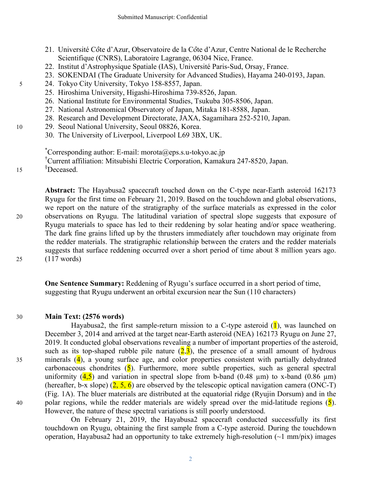- 21. Université Côte d'Azur, Observatoire de la Côte d'Azur, Centre National de le Recherche Scientifique (CNRS), Laboratoire Lagrange, 06304 Nice, France.
- 22. Institut d'Astrophysique Spatiale (IAS), Université Paris-Sud, Orsay, France.
- 23. SOKENDAI (The Graduate University for Advanced Studies), Hayama 240-0193, Japan.
- 5 24. Tokyo City University, Tokyo 158-8557, Japan.
	- 25. Hiroshima University, Higashi-Hiroshima 739-8526, Japan.
	- 26. National Institute for Environmental Studies, Tsukuba 305-8506, Japan.
	- 27. National Astronomical Observatory of Japan, Mitaka 181-8588, Japan.
	- 28. Research and Development Directorate, JAXA, Sagamihara 252-5210, Japan.
- 10 29. Seoul National University, Seoul 08826, Korea.
	- 30. The University of Liverpool, Liverpool L69 3BX, UK.

\* Corresponding author: E-mail: morota@eps.s.u-tokyo.ac.jp

† Current affiliation: Mitsubishi Electric Corporation, Kamakura 247-8520, Japan.

§ <sup>15</sup> Deceased.

**Abstract:** The Hayabusa2 spacecraft touched down on the C-type near-Earth asteroid 162173 Ryugu for the first time on February 21, 2019. Based on the touchdown and global observations, we report on the nature of the stratigraphy of the surface materials as expressed in the color 20 observations on Ryugu. The latitudinal variation of spectral slope suggests that exposure of Ryugu materials to space has led to their reddening by solar heating and/or space weathering. The dark fine grains lifted up by the thrusters immediately after touchdown may originate from the redder materials. The stratigraphic relationship between the craters and the redder materials suggests that surface reddening occurred over a short period of time about 8 million years ago. 25 (117 words)

**One Sentence Summary:** Reddening of Ryugu's surface occurred in a short period of time, suggesting that Ryugu underwent an orbital excursion near the Sun (110 characters)

## 30 **Main Text: (2576 words)**

Hayabusa2, the first sample-return mission to a C-type asteroid  $(1)$ , was launched on December 3, 2014 and arrived at the target near-Earth asteroid (NEA) 162173 Ryugu on June 27, 2019. It conducted global observations revealing a number of important properties of the asteroid, such as its top-shaped rubble pile nature  $(2,3)$ , the presence of a small amount of hydrous 35 minerals (4), a young surface age, and color properties consistent with partially dehydrated carbonaceous chondrites  $(5)$ . Furthermore, more subtle properties, such as general spectral uniformity  $(4.5)$  and variation in spectral slope from b-band  $(0.48 \text{ um})$  to x-band  $(0.86 \text{ um})$ (hereafter, b-x slope)  $(2, 5, 6)$  are observed by the telescopic optical navigation camera (ONC-T) (Fig. 1A). The bluer materials are distributed at the equatorial ridge (Ryujin Dorsum) and in the 40 polar regions, while the redder materials are widely spread over the mid-latitude regions  $(5)$ . However, the nature of these spectral variations is still poorly understood.

On February 21, 2019, the Hayabusa2 spacecraft conducted successfully its first touchdown on Ryugu, obtaining the first sample from a C-type asteroid. During the touchdown operation, Hayabusa2 had an opportunity to take extremely high-resolution  $(\sim 1 \text{ mm/pix})$  images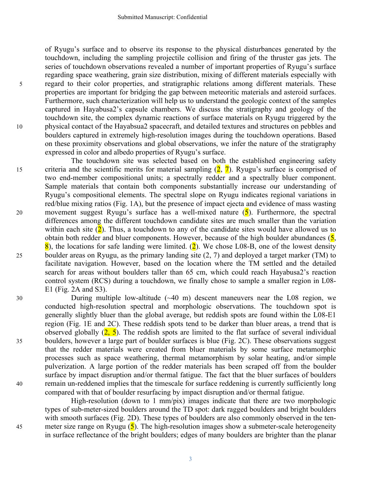of Ryugu's surface and to observe its response to the physical disturbances generated by the touchdown, including the sampling projectile collision and firing of the thruster gas jets. The series of touchdown observations revealed a number of important properties of Ryugu's surface regarding space weathering, grain size distribution, mixing of different materials especially with 5 regard to their color properties, and stratigraphic relations among different materials. These properties are important for bridging the gap between meteoritic materials and asteroid surfaces. Furthermore, such characterization will help us to understand the geologic context of the samples captured in Hayabusa2's capsule chambers. We discuss the stratigraphy and geology of the touchdown site, the complex dynamic reactions of surface materials on Ryugu triggered by the 10 physical contact of the Hayabsua2 spacecraft, and detailed textures and structures on pebbles and boulders captured in extremely high-resolution images during the touchdown operations. Based on these proximity observations and global observations, we infer the nature of the stratigraphy expressed in color and albedo properties of Ryugu's surface.

The touchdown site was selected based on both the established engineering safety 15 criteria and the scientific merits for material sampling  $(2, 7)$ . Ryugu's surface is comprised of two end-member compositional units; a spectrally redder and a spectrally bluer component. Sample materials that contain both components substantially increase our understanding of Ryugu's compositional elements. The spectral slope on Ryugu indicates regional variations in red/blue mixing ratios (Fig. 1A), but the presence of impact ejecta and evidence of mass wasting 20 movement suggest Ryugu's surface has a well-mixed nature  $(5)$ . Furthermore, the spectral differences among the different touchdown candidate sites are much smaller than the variation within each site  $(2)$ . Thus, a touchdown to any of the candidate sites would have allowed us to obtain both redder and bluer components. However, because of the high boulder abundances  $(5, 5)$  $\frac{8}{8}$ , the locations for safe landing were limited. (2). We chose L08-B, one of the lowest density 25 boulder areas on Ryugu, as the primary landing site (2, 7) and deployed a target marker (TM) to facilitate navigation. However, based on the location where the TM settled and the detailed search for areas without boulders taller than 65 cm, which could reach Hayabusa2's reaction control system (RCS) during a touchdown, we finally chose to sample a smaller region in L08- E1 (Fig. 2A and S3).

30 During multiple low-altitude (~40 m) descent maneuvers near the L08 region, we conducted high-resolution spectral and morphologic observations. The touchdown spot is generally slightly bluer than the global average, but reddish spots are found within the L08-E1 region (Fig. 1E and 2C). These reddish spots tend to be darker than bluer areas, a trend that is observed globally  $(2, 5)$ . The reddish spots are limited to the flat surface of several individual 35 boulders, however a large part of boulder surfaces is blue (Fig. 2C). These observations suggest that the redder materials were created from bluer materials by some surface metamorphic processes such as space weathering, thermal metamorphism by solar heating, and/or simple pulverization. A large portion of the redder materials has been scraped off from the boulder surface by impact disruption and/or thermal fatigue. The fact that the bluer surfaces of boulders 40 remain un-reddened implies that the timescale for surface reddening is currently sufficiently long compared with that of boulder resurfacing by impact disruption and/or thermal fatigue.

High-resolution (down to 1 mm/pix) images indicate that there are two morphologic types of sub-meter-sized boulders around the TD spot: dark ragged boulders and bright boulders with smooth surfaces (Fig. 2D). These types of boulders are also commonly observed in the ten-45 meter size range on Ryugu  $(5)$ . The high-resolution images show a submeter-scale heterogeneity in surface reflectance of the bright boulders; edges of many boulders are brighter than the planar

3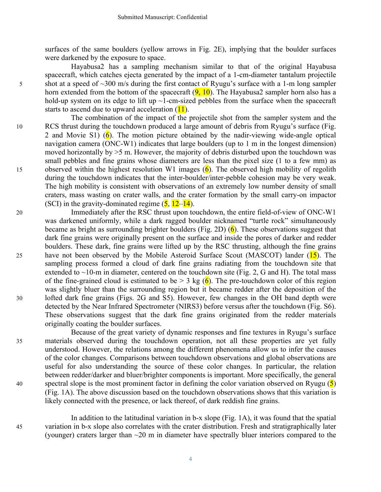surfaces of the same boulders (yellow arrows in Fig. 2E), implying that the boulder surfaces were darkened by the exposure to space.

Hayabusa2 has a sampling mechanism similar to that of the original Hayabusa spacecraft, which catches ejecta generated by the impact of a 1-cm-diameter tantalum projectile 5 shot at a speed of ~300 m/s during the first contact of Ryugu's surface with a 1-m long sampler horn extended from the bottom of the spacecraft  $(9, 10)$ . The Hayabusa2 sampler horn also has a hold-up system on its edge to lift up  $\sim$ 1-cm-sized pebbles from the surface when the spacecraft starts to ascend due to upward acceleration  $(11)$ .

- The combination of the impact of the projectile shot from the sampler system and the 10 RCS thrust during the touchdown produced a large amount of debris from Ryugu's surface (Fig. 2 and Movie S1) ( $\overline{6}$ ). The motion picture obtained by the nadir-viewing wide-angle optical navigation camera (ONC-W1) indicates that large boulders (up to 1 m in the longest dimension) moved horizontally by  $>5$  m. However, the majority of debris disturbed upon the touchdown was small pebbles and fine grains whose diameters are less than the pixel size (1 to a few mm) as 15 observed within the highest resolution W1 images  $(6)$ . The observed high mobility of regolith during the touchdown indicates that the inter-boulder/inter-pebble cohesion may be very weak. The high mobility is consistent with observations of an extremely low number density of small craters, mass wasting on crater walls, and the crater formation by the small carry-on impactor (SCI) in the gravity-dominated regime  $(5, 12-14)$ .
- 20 Immediately after the RSC thrust upon touchdown, the entire field-of-view of ONC-W1 was darkened uniformly, while a dark ragged boulder nicknamed "turtle rock" simultaneously became as bright as surrounding brighter boulders (Fig. 2D)  $(6)$ . These observations suggest that dark fine grains were originally present on the surface and inside the pores of darker and redder boulders. These dark, fine grains were lifted up by the RSC thrusting, although the fine grains 25 have not been observed by the Mobile Asteroid Surface Scout (MASCOT) lander (15). The sampling process formed a cloud of dark fine grains radiating from the touchdown site that extended to  $\sim$ 10-m in diameter, centered on the touchdown site (Fig. 2, G and H). The total mass of the fine-grained cloud is estimated to be  $> 3$  kg (6). The pre-touchdown color of this region was slightly bluer than the surrounding region but it became redder after the deposition of the 30 lofted dark fine grains (Figs. 2G and S5). However, few changes in the OH band depth were detected by the Near Infrared Spectrometer (NIRS3) before versus after the touchdown (Fig. S6). These observations suggest that the dark fine grains originated from the redder materials originally coating the boulder surfaces.
- Because of the great variety of dynamic responses and fine textures in Ryugu's surface 35 materials observed during the touchdown operation, not all these properties are yet fully understood. However, the relations among the different phenomena allow us to infer the causes of the color changes. Comparisons between touchdown observations and global observations are useful for also understanding the source of these color changes. In particular, the relation between redder/darker and bluer/brighter components is important. More specifically, the general 40 spectral slope is the most prominent factor in defining the color variation observed on Ryugu  $(5)$ (Fig. 1A). The above discussion based on the touchdown observations shows that this variation is likely connected with the presence, or lack thereof, of dark reddish fine grains.
- In addition to the latitudinal variation in b-x slope (Fig. 1A), it was found that the spatial 45 variation in b-x slope also correlates with the crater distribution. Fresh and stratigraphically later (younger) craters larger than ~20 m in diameter have spectrally bluer interiors compared to the

4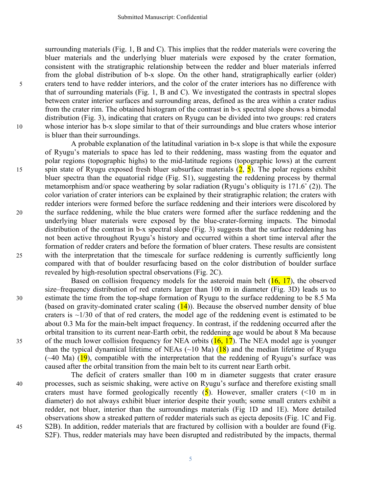surrounding materials (Fig. 1, B and C). This implies that the redder materials were covering the bluer materials and the underlying bluer materials were exposed by the crater formation, consistent with the stratigraphic relationship between the redder and bluer materials inferred from the global distribution of b-x slope. On the other hand, stratigraphically earlier (older) 5 craters tend to have redder interiors, and the color of the crater interiors has no difference with that of surrounding materials (Fig. 1, B and C). We investigated the contrasts in spectral slopes between crater interior surfaces and surrounding areas, defined as the area within a crater radius from the crater rim. The obtained histogram of the contrast in b-x spectral slope shows a bimodal distribution (Fig. 3), indicating that craters on Ryugu can be divided into two groups: red craters 10 whose interior has b-x slope similar to that of their surroundings and blue craters whose interior is bluer than their surroundings.

A probable explanation of the latitudinal variation in b-x slope is that while the exposure of Ryugu's materials to space has led to their reddening, mass wasting from the equator and polar regions (topographic highs) to the mid-latitude regions (topographic lows) at the current 15 spin state of Ryugu exposed fresh bluer subsurface materials  $(2, 5)$ . The polar regions exhibit bluer spectra than the equatorial ridge (Fig. S1), suggesting the reddening process by thermal metamorphism and/or space weathering by solar radiation (Ryugu's obliquity is 171.6˚ (2)). The color variation of crater interiors can be explained by their stratigraphic relation; the craters with redder interiors were formed before the surface reddening and their interiors were discolored by 20 the surface reddening, while the blue craters were formed after the surface reddening and the underlying bluer materials were exposed by the blue-crater-forming impacts. The bimodal distribution of the contrast in b-x spectral slope (Fig. 3) suggests that the surface reddening has not been active throughout Ryugu's history and occurred within a short time interval after the formation of redder craters and before the formation of bluer craters. These results are consistent 25 with the interpretation that the timescale for surface reddening is currently sufficiently long compared with that of boulder resurfacing based on the color distribution of boulder surface revealed by high-resolution spectral observations (Fig. 2C).

Based on collision frequency models for the asteroid main belt  $(16, 17)$ , the observed size–frequency distribution of red craters larger than 100 m in diameter (Fig. 3D) leads us to 30 estimate the time from the top-shape formation of Ryugu to the surface reddening to be 8.5 Ma (based on gravity-dominated crater scaling  $(14)$ ). Because the observed number density of blue craters is  $\sim$ 1/30 of that of red craters, the model age of the reddening event is estimated to be about 0.3 Ma for the main-belt impact frequency. In contrast, if the reddening occurred after the orbital transition to its current near-Earth orbit, the reddening age would be about 8 Ma because 35 of the much lower collision frequency for NEA orbits  $(16, 17)$ . The NEA model age is younger than the typical dynamical lifetime of NEAs  $(\sim 10 \text{ Ma})$  (18) and the median lifetime of Ryugu  $(\sim 40 \text{ Ma})$  (19), compatible with the interpretation that the reddening of Ryugu's surface was caused after the orbital transition from the main belt to its current near Earth orbit.

The deficit of craters smaller than 100 m in diameter suggests that crater erasure 40 processes, such as seismic shaking, were active on Ryugu's surface and therefore existing small craters must have formed geologically recently  $(5)$ . However, smaller craters  $(10 \text{ m in})$ diameter) do not always exhibit bluer interior despite their youth; some small craters exhibit a redder, not bluer, interior than the surroundings materials (Fig 1D and 1E). More detailed observations show a streaked pattern of redder materials such as ejecta deposits (Fig. 1C and Fig. 45 S2B). In addition, redder materials that are fractured by collision with a boulder are found (Fig. S2F). Thus, redder materials may have been disrupted and redistributed by the impacts, thermal

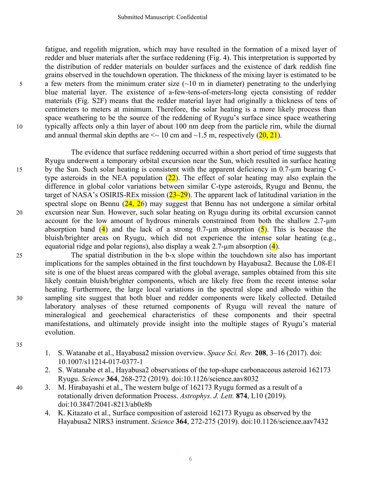fatigue, and regolith migration, which may have resulted in the formation of a mixed layer of redder and bluer materials after the surface reddening (Fig. 4). This interpretation is supported by the distribution of redder materials on boulder surfaces and the existence of dark reddish fine grains observed in the touchdown operation. The thickness of the mixing layer is estimated to be  $\frac{1}{2}$  a few meters from the minimum crater size (~10 m in diameter) penetrating to the underlying blue material layer. The existence of a-few-tens-of-meters-long ejecta consisting of redder materials (Fig. S2F) means that the redder material layer had originally a thickness of tens of centimeters to meters at minimum. Therefore, the solar heating is a more likely process than space weathering to be the source of the reddening of Ryugu's surface since space weathering 10 typically affects only a thin layer of about 100 nm deep from the particle rim, while the diurnal and annual thermal skin depths are  $\leq 10$  cm and  $\sim 1.5$  m, respectively (20, 21).

The evidence that surface reddening occurred within a short period of time suggests that Ryugu underwent a temporary orbital excursion near the Sun, which resulted in surface heating 15 by the Sun. Such solar heating is consistent with the apparent deficiency in 0.7-µm bearing Ctype asteroids in the NEA population  $(22)$ . The effect of solar heating may also explain the difference in global color variations between similar C-type asteroids, Ryugu and Bennu, the target of NASA's OSIRIS-REx mission  $(23-29)$ . The apparent lack of latitudinal variation in the spectral slope on Bennu  $(24, 26)$  may suggest that Bennu has not undergone a similar orbital 20 excursion near Sun. However, such solar heating on Ryugu during its orbital excursion cannot account for the low amount of hydrous minerals constrained from both the shallow 2.7-µm absorption band (4) and the lack of a strong 0.7-um absorption (5). This is because the bluish/brighter areas on Ryugu, which did not experience the intense solar heating (e.g., equatorial ridge and polar regions), also display a weak  $2.7$ -um absorption (4).

25 The spatial distribution in the b-x slope within the touchdown site also has important implications for the samples obtained in the first touchdown by Hayabusa2. Because the L08-E1 site is one of the bluest areas compared with the global average, samples obtained from this site likely contain bluish/brighter components, which are likely free from the recent intense solar heating. Furthermore, the large local variations in the spectral slope and albedo within the 30 sampling site suggest that both bluer and redder components were likely collected. Detailed laboratory analyses of these returned components of Ryugu will reveal the nature of mineralogical and geochemical characteristics of these components and their spectral manifestations, and ultimately provide insight into the multiple stages of Ryugu's material evolution.

35

- 1. S. Watanabe et al., Hayabusa2 mission overview. *Space Sci. Rev.* **208**, 3–16 (2017). doi: 10.1007/s11214-017-0377-1
- 2. S. Watanabe et al., Hayabusa2 observations of the top-shape carbonaceous asteroid 162173 Ryugu. *Science* **364**, 268-272 (2019). doi:10.1126/science.aav8032
- 40 3. M. Hirabayashi et al., The western bulge of 162173 Ryugu formed as a result of a rotationally driven deformation Process. *Astrophys. J. Lett.* **874**, L10 (2019). doi:10.3847/2041-8213/ab0e8b
	- 4. K. Kitazato et al., Surface composition of asteroid 162173 Ryugu as observed by the Hayabusa2 NIRS3 instrument. *Science* **364**, 272-275 (2019). doi:10.1126/science.aav7432

6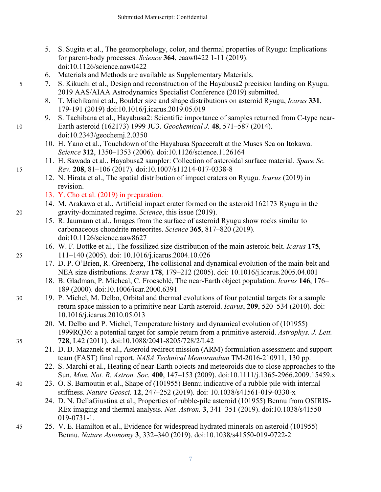- 5. S. Sugita et al., The geomorphology, color, and thermal properties of Ryugu: Implications for parent-body processes. *Science* **364**, eaaw0422 1-11 (2019). doi:10.1126/science.aaw0422
- 6. Materials and Methods are available as Supplementary Materials.
- 5 7. S. Kikuchi et al., Design and reconstruction of the Hayabusa2 precision landing on Ryugu. 2019 AAS/AIAA Astrodynamics Specialist Conference (2019) submitted.
	- 8. T. Michikami et al., Boulder size and shape distributions on asteroid Ryugu, *Icarus* **331**, 179-191 (2019) doi:10.1016/j.icarus.2019.05.019
- 9. S. Tachibana et al., Hayabusa2: Scientific importance of samples returned from C-type near-10 Earth asteroid (162173) 1999 JU3. *Geochemical J.* **48**, 571–587 (2014). doi:10.2343/geochemj.2.0350
	- 10. H. Yano et al., Touchdown of the Hayabusa Spacecraft at the Muses Sea on Itokawa. *Science* **312**, 1350–1353 (2006). doi:10.1126/science.1126164
- 11. H. Sawada et al., Hayabusa2 sampler: Collection of asteroidal surface material. *Space Sc.*  15 *Rev.* **208**, 81–106 (2017). doi:10.1007/s11214-017-0338-8
	- 12. N. Hirata et al., The spatial distribution of impact craters on Ryugu. *Icarus* (2019) in revision.
	- 13. Y. Cho et al. (2019) in preparation.
- 14. M. Arakawa et al., Artificial impact crater formed on the asteroid 162173 Ryugu in the 20 gravity-dominated regime. *Science*, this issue (2019).
	- 15. R. Jaumann et al., Images from the surface of asteroid Ryugu show rocks similar to carbonaceous chondrite meteorites. *Science* **365**, 817–820 (2019). doi:10.1126/science.aaw8627
- 16. W. F. Bottke et al., The fossilized size distribution of the main asteroid belt. *Icarus* **175**, 25 111–140 (2005). doi: 10.1016/j.icarus.2004.10.026
	- 17. D. P. O'Brien, R. Greenberg, The collisional and dynamical evolution of the main-belt and NEA size distributions. *Icarus* **178**, 179–212 (2005). doi: 10.1016/j.icarus.2005.04.001
	- 18. B. Gladman, P. Micheal, C. Froeschlé, The near-Earth object population. *Icarus* **146**, 176– 189 (2000). doi:10.1006/icar.2000.6391
- 30 19. P. Michel, M. Delbo, Orbital and thermal evolutions of four potential targets for a sample return space mission to a primitive near-Earth asteroid. *Icarus*, **209**, 520–534 (2010). doi: 10.1016/j.icarus.2010.05.013
- 20. M. Delbo and P. Michel, Temperature history and dynamical evolution of (101955) 1999RQ36: a potential target for sample return from a primitive asteroid. *Astrophys. J. Lett.* 35 **728**, L42 (2011). doi:10.1088/2041-8205/728/2/L42
	- 21. D. D. Mazanek et al., Asteroid redirect mission (ARM) formulation assessment and support team (FAST) final report. *NASA Technical Memorandum* TM-2016-210911, 130 pp.
	- 22. S. Marchi et al., Heating of near-Earth objects and meteoroids due to close approaches to the Sun. *Mon. Not. R. Astron. Soc.* **400**, 147–153 (2009). doi:10.1111/j.1365-2966.2009.15459.x
- 40 23. O. S. Barnoutin et al., Shape of (101955) Bennu indicative of a rubble pile with internal stiffness. *Nature Geosci.* **12**, 247–252 (2019). doi: 10.1038/s41561-019-0330-x
	- 24. D. N. DellaGiustina et al., Properties of rubble-pile asteroid (101955) Bennu from OSIRIS-REx imaging and thermal analysis. *Nat. Astron.* **3**, 341–351 (2019). doi:10.1038/s41550- 019-0731-1.
- 45 25. V. E. Hamilton et al., Evidence for widespread hydrated minerals on asteroid (101955) Bennu. *Nature Astonomy* **3**, 332–340 (2019). doi:10.1038/s41550-019-0722-2